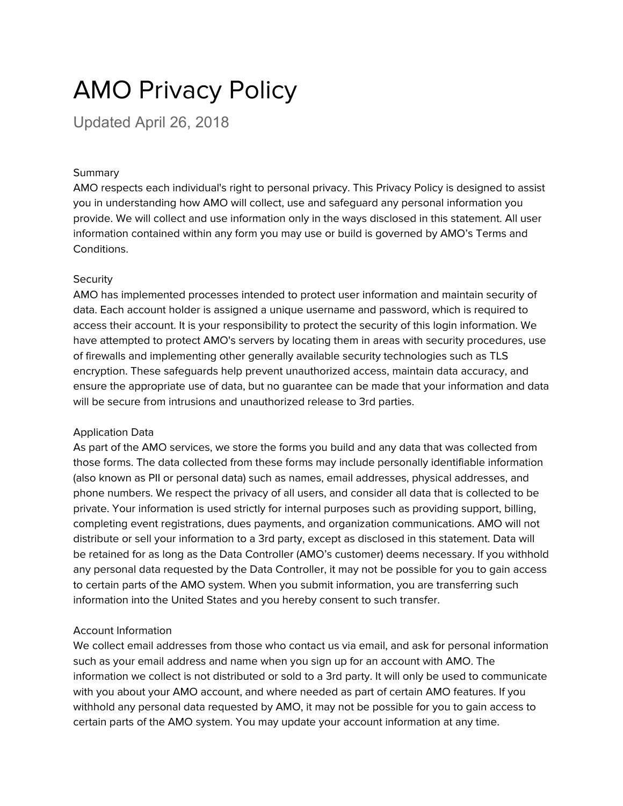# AMO Privacy Policy

Updated April 26, 2018

#### Summary

AMO respects each individual's right to personal privacy. This Privacy Policy is designed to assist you in understanding how AMO will collect, use and safeguard any personal information you provide. We will collect and use information only in the ways disclosed in this statement. All user information contained within any form you may use or build is governed by AMO's Terms and Conditions.

# **Security**

AMO has implemented processes intended to protect user information and maintain security of data. Each account holder is assigned a unique username and password, which is required to access their account. It is your responsibility to protect the security of this login information. We have attempted to protect AMO's servers by locating them in areas with security procedures, use of firewalls and implementing other generally available security technologies such as TLS encryption. These safeguards help prevent unauthorized access, maintain data accuracy, and ensure the appropriate use of data, but no guarantee can be made that your information and data will be secure from intrusions and unauthorized release to 3rd parties.

# Application Data

As part of the AMO services, we store the forms you build and any data that was collected from those forms. The data collected from these forms may include personally identifiable information (also known as PII or personal data) such as names, email addresses, physical addresses, and phone numbers. We respect the privacy of all users, and consider all data that is collected to be private. Your information is used strictly for internal purposes such as providing support, billing, completing event registrations, dues payments, and organization communications. AMO will not distribute or sell your information to a 3rd party, except as disclosed in this statement. Data will be retained for as long as the Data Controller (AMO's customer) deems necessary. If you withhold any personal data requested by the Data Controller, it may not be possible for you to gain access to certain parts of the AMO system. When you submit information, you are transferring such information into the United States and you hereby consent to such transfer.

# Account Information

We collect email addresses from those who contact us via email, and ask for personal information such as your email address and name when you sign up for an account with AMO. The information we collect is not distributed or sold to a 3rd party. It will only be used to communicate with you about your AMO account, and where needed as part of certain AMO features. If you withhold any personal data requested by AMO, it may not be possible for you to gain access to certain parts of the AMO system. You may update your account information at any time.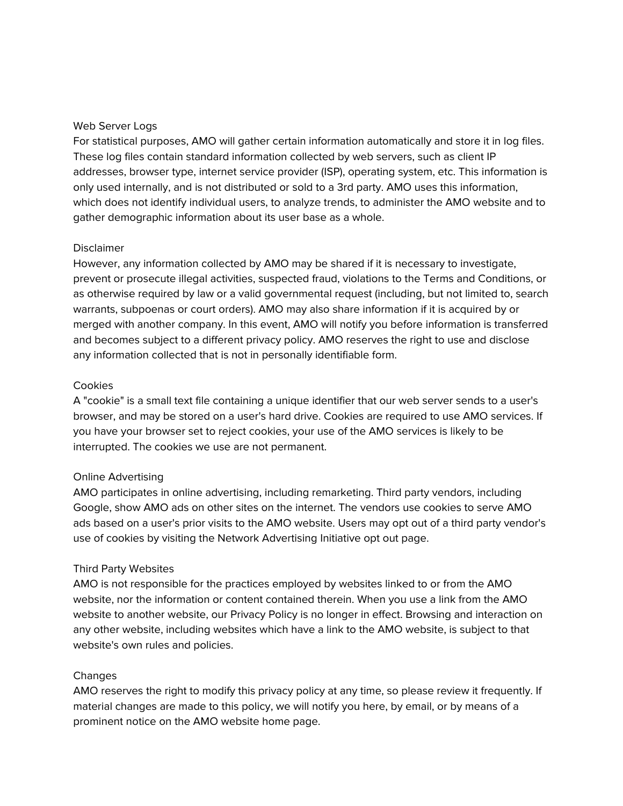#### Web Server Logs

For statistical purposes, AMO will gather certain information automatically and store it in log files. These log files contain standard information collected by web servers, such as client IP addresses, browser type, internet service provider (ISP), operating system, etc. This information is only used internally, and is not distributed or sold to a 3rd party. AMO uses this information, which does not identify individual users, to analyze trends, to administer the AMO website and to gather demographic information about its user base as a whole.

#### Disclaimer

However, any information collected by AMO may be shared if it is necessary to investigate, prevent or prosecute illegal activities, suspected fraud, violations to the Terms and Conditions, or as otherwise required by law or a valid governmental request (including, but not limited to, search warrants, subpoenas or court orders). AMO may also share information if it is acquired by or merged with another company. In this event, AMO will notify you before information is transferred and becomes subject to a different privacy policy. AMO reserves the right to use and disclose any information collected that is not in personally identifiable form.

#### **Cookies**

A "cookie" is a small text file containing a unique identifier that our web server sends to a user's browser, and may be stored on a user's hard drive. Cookies are required to use AMO services. If you have your browser set to reject cookies, your use of the AMO services is likely to be interrupted. The cookies we use are not permanent.

#### Online Advertising

AMO participates in online advertising, including remarketing. Third party vendors, including Google, show AMO ads on other sites on the internet. The vendors use cookies to serve AMO ads based on a user's prior visits to the AMO website. Users may opt out of a third party vendor's use of cookies by visiting the Network Advertising Initiative opt out page.

#### Third Party Websites

AMO is not responsible for the practices employed by websites linked to or from the AMO website, nor the information or content contained therein. When you use a link from the AMO website to another website, our Privacy Policy is no longer in effect. Browsing and interaction on any other website, including websites which have a link to the AMO website, is subject to that website's own rules and policies.

#### Changes

AMO reserves the right to modify this privacy policy at any time, so please review it frequently. If material changes are made to this policy, we will notify you here, by email, or by means of a prominent notice on the AMO website home page.